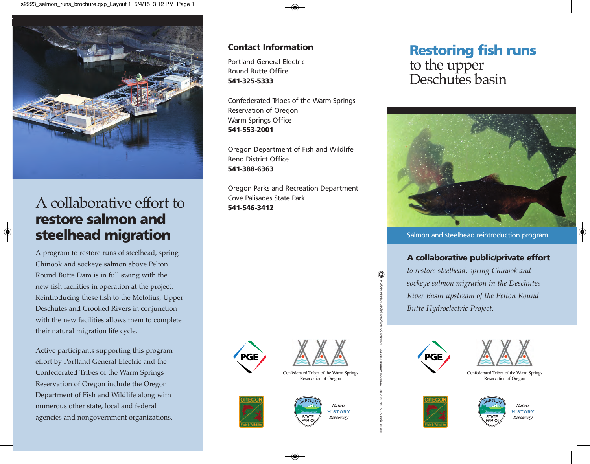

# A collaborative effort to **restore salmon and steelhead migration**

A program to restore runs of steelhead, spring Chinook and sockeye salmon above Pelton Round Butte Dam is in full swing with the new fish facilities in operation at the project. Reintroducing these fish to the Metolius, Upper Deschutes and Crooked Rivers in conjunction with the new facilities allows them to complete their natural migration life cycle.

Active participants supporting this program effort by Portland General Electric and the Confederated Tribes of the Warm Springs Reservation of Oregon include the Oregon Department of Fish and Wildlife along with numerous other state, local and federal agencies and nongovernment organizations.

#### **Contact Information**

Portland General Electric Round Butte Office **541-325-5333**

Confederated Tribes of the Warm Springs Reservation of Oregon Warm Springs Office **541-553-2001**

Oregon Department of Fish and Wildlife Bend District Office **541-388-6363**

Oregon Parks and Recreation Department Cove Palisades State Park **541-546-3412**





Confederated Tribes of the Warm Springs Reservation of Oregon







## **Restoring fish runs** to the upper Deschutes basin



Salmon and steelhead reintroduction program

#### **A collaborative public/private effort**

*to restore steelhead, spring Chinook and sockeye salmon migration in the Deschutes River Basin upstream of the Pelton Round Butte Hydroelectric Project.*



Printed on recycled paper. Please recycle.

09/13 rpnt 5/15 3K © 2013 Portland General Electric.

pnt 5/15

 $9/13$ 

Portland © 2013  $\frac{1}{3}$ 



Confederated Tribes of the Warm Springs Reservation of Oregon